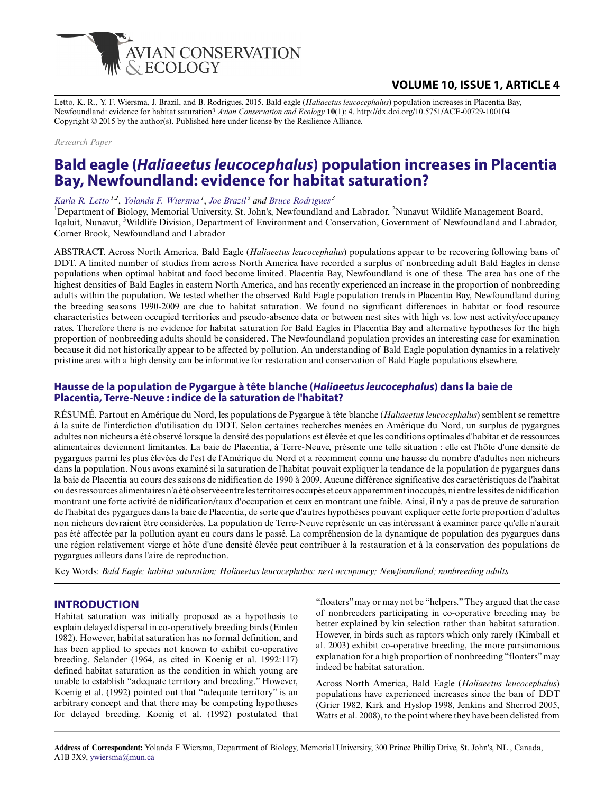

# **VOLUME 10, ISSUE 1, ARTICLE 4**

Letto, K. R., Y. F. Wiersma, J. Brazil, and B. Rodrigues. 2015. Bald eagle (*Haliaeetus leucocephalus*) population increases in Placentia Bay, Newfoundland: evidence for habitat saturation? *Avian Conservation and Ecology* **10**(1): 4. http://dx.doi.org/10.5751/ACE-00729-100104 Copyright © 2015 by the author(s). Published here under license by the Resilience Alliance.

*Research Paper*

# **Bald eagle (***Haliaeetus leucocephalus***) population increases in Placentia Bay, Newfoundland: evidence for habitat saturation?**

#### *[Karla R. Letto](mailto:kletto@nwmb.com) 1,2* , *[Yolanda F. Wiersma](mailto:ywiersma@mun.ca)<sup>1</sup>* , *[Joe Brazil](mailto:joe.brazil@gmail.com)<sup>3</sup> and [Bruce Rodrigues](mailto:brucerodrigues@gov.nl.ca)<sup>3</sup>*

<sup>1</sup>Department of Biology, Memorial University, St. John's, Newfoundland and Labrador, <sup>2</sup>Nunavut Wildlife Management Board, Iqaluit, Nunavut, <sup>3</sup>Wildlife Division, Department of Environment and Conservation, Government of Newfoundland and Labrador, Corner Brook, Newfoundland and Labrador

ABSTRACT. Across North America, Bald Eagle (*Haliaeetus leucocephalus*) populations appear to be recovering following bans of DDT. A limited number of studies from across North America have recorded a surplus of nonbreeding adult Bald Eagles in dense populations when optimal habitat and food become limited. Placentia Bay, Newfoundland is one of these. The area has one of the highest densities of Bald Eagles in eastern North America, and has recently experienced an increase in the proportion of nonbreeding adults within the population. We tested whether the observed Bald Eagle population trends in Placentia Bay, Newfoundland during the breeding seasons 1990-2009 are due to habitat saturation. We found no significant differences in habitat or food resource characteristics between occupied territories and pseudo-absence data or between nest sites with high vs. low nest activity/occupancy rates. Therefore there is no evidence for habitat saturation for Bald Eagles in Placentia Bay and alternative hypotheses for the high proportion of nonbreeding adults should be considered. The Newfoundland population provides an interesting case for examination because it did not historically appear to be affected by pollution. An understanding of Bald Eagle population dynamics in a relatively pristine area with a high density can be informative for restoration and conservation of Bald Eagle populations elsewhere.

## **Hausse de la population de Pygargue à tête blanche (***Haliaeetus leucocephalus***) dans la baie de Placentia, Terre-Neuve : indice de la saturation de l'habitat?**

RÉSUMÉ. Partout en Amérique du Nord, les populations de Pygargue à tête blanche (*Haliaeetus leucocephalus*) semblent se remettre à la suite de l'interdiction d'utilisation du DDT. Selon certaines recherches menées en Amérique du Nord, un surplus de pygargues adultes non nicheurs a été observé lorsque la densité des populations est élevée et que les conditions optimales d'habitat et de ressources alimentaires deviennent limitantes. La baie de Placentia, à Terre-Neuve, présente une telle situation : elle est l'hôte d'une densité de pygargues parmi les plus élevées de l'est de l'Amérique du Nord et a récemment connu une hausse du nombre d'adultes non nicheurs dans la population. Nous avons examiné si la saturation de l'habitat pouvait expliquer la tendance de la population de pygargues dans la baie de Placentia au cours des saisons de nidification de 1990 à 2009. Aucune différence significative des caractéristiques de l'habitat ou des ressources alimentaires n'a été observée entre les territoires occupés et ceux apparemment inoccupés, ni entre les sites de nidification montrant une forte activité de nidification/taux d'occupation et ceux en montrant une faible. Ainsi, il n'y a pas de preuve de saturation de l'habitat des pygargues dans la baie de Placentia, de sorte que d'autres hypothèses pouvant expliquer cette forte proportion d'adultes non nicheurs devraient être considérées. La population de Terre-Neuve représente un cas intéressant à examiner parce qu'elle n'aurait pas été affectée par la pollution ayant eu cours dans le passé. La compréhension de la dynamique de population des pygargues dans une région relativement vierge et hôte d'une densité élevée peut contribuer à la restauration et à la conservation des populations de pygargues ailleurs dans l'aire de reproduction.

Key Words: *Bald Eagle; habitat saturation; Haliaeetus leucocephalus; nest occupancy; Newfoundland; nonbreeding adults*

### **INTRODUCTION**

Habitat saturation was initially proposed as a hypothesis to explain delayed dispersal in co-operatively breeding birds (Emlen 1982). However, habitat saturation has no formal definition, and has been applied to species not known to exhibit co-operative breeding. Selander (1964, as cited in Koenig et al. 1992:117) defined habitat saturation as the condition in which young are unable to establish "adequate territory and breeding." However, Koenig et al. (1992) pointed out that "adequate territory" is an arbitrary concept and that there may be competing hypotheses for delayed breeding. Koenig et al. (1992) postulated that

"floaters" may or may not be "helpers." They argued that the case of nonbreeders participating in co-operative breeding may be better explained by kin selection rather than habitat saturation. However, in birds such as raptors which only rarely (Kimball et al. 2003) exhibit co-operative breeding, the more parsimonious explanation for a high proportion of nonbreeding "floaters" may indeed be habitat saturation.

Across North America, Bald Eagle (*Haliaeetus leucocephalus*) populations have experienced increases since the ban of DDT (Grier 1982, Kirk and Hyslop 1998, Jenkins and Sherrod 2005, Watts et al. 2008), to the point where they have been delisted from

**Address of Correspondent:** Yolanda F Wiersma, Department of Biology, Memorial University, 300 Prince Phillip Drive, St. John's, NL , Canada, A1B 3X9, [ywiersma@mun.ca](mailto:ywiersma@mun.ca)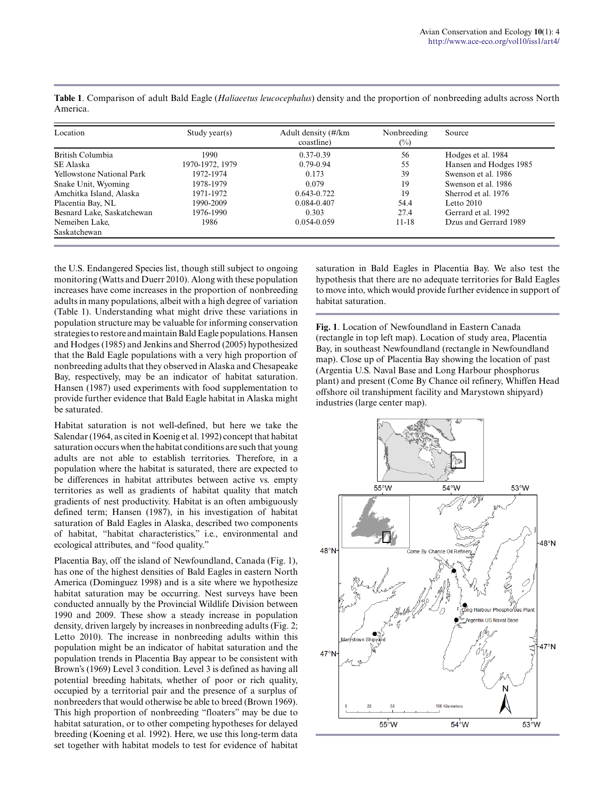| Location                         | Study year(s)   | Adult density (#/km<br>coastline) | Nonbreeding<br>$(\%)$ | Source                 |
|----------------------------------|-----------------|-----------------------------------|-----------------------|------------------------|
| British Columbia                 | 1990            | $0.37 - 0.39$                     | 56                    | Hodges et al. 1984     |
| SE Alaska                        | 1970-1972, 1979 | $0.79 - 0.94$                     | 55                    | Hansen and Hodges 1985 |
| <b>Yellowstone National Park</b> | 1972-1974       | 0.173                             | 39                    | Swenson et al. 1986    |
| Snake Unit, Wyoming              | 1978-1979       | 0.079                             | 19                    | Swenson et al. 1986    |
| Amchitka Island, Alaska          | 1971-1972       | $0.643 - 0.722$                   | 19                    | Sherrod et al. 1976    |
| Placentia Bay, NL                | 1990-2009       | 0.084-0.407                       | 54.4                  | Letto $2010$           |
| Besnard Lake, Saskatchewan       | 1976-1990       | 0.303                             | 27.4                  | Gerrard et al. 1992    |
| Nemeiben Lake,                   | 1986            | 0.054-0.059                       | $11 - 18$             | Dzus and Gerrard 1989  |
| Saskatchewan                     |                 |                                   |                       |                        |

**Table 1**. Comparison of adult Bald Eagle (*Haliaeetus leucocephalus*) density and the proportion of nonbreeding adults across North America.

the U.S. Endangered Species list, though still subject to ongoing monitoring (Watts and Duerr 2010). Along with these population increases have come increases in the proportion of nonbreeding adults in many populations, albeit with a high degree of variation (Table 1). Understanding what might drive these variations in population structure may be valuable for informing conservation strategies to restore and maintain Bald Eagle populations. Hansen and Hodges (1985) and Jenkins and Sherrod (2005) hypothesized that the Bald Eagle populations with a very high proportion of nonbreeding adults that they observed in Alaska and Chesapeake Bay, respectively, may be an indicator of habitat saturation. Hansen (1987) used experiments with food supplementation to provide further evidence that Bald Eagle habitat in Alaska might be saturated.

Habitat saturation is not well-defined, but here we take the Salendar (1964, as cited in Koenig et al. 1992) concept that habitat saturation occurs when the habitat conditions are such that young adults are not able to establish territories. Therefore, in a population where the habitat is saturated, there are expected to be differences in habitat attributes between active vs. empty territories as well as gradients of habitat quality that match gradients of nest productivity. Habitat is an often ambiguously defined term; Hansen (1987), in his investigation of habitat saturation of Bald Eagles in Alaska, described two components of habitat, "habitat characteristics," i.e., environmental and ecological attributes, and "food quality."

Placentia Bay, off the island of Newfoundland, Canada (Fig. 1), has one of the highest densities of Bald Eagles in eastern North America (Dominguez 1998) and is a site where we hypothesize habitat saturation may be occurring. Nest surveys have been conducted annually by the Provincial Wildlife Division between 1990 and 2009. These show a steady increase in population density, driven largely by increases in nonbreeding adults (Fig. 2; Letto 2010). The increase in nonbreeding adults within this population might be an indicator of habitat saturation and the population trends in Placentia Bay appear to be consistent with Brown's (1969) Level 3 condition. Level 3 is defined as having all potential breeding habitats, whether of poor or rich quality, occupied by a territorial pair and the presence of a surplus of nonbreeders that would otherwise be able to breed (Brown 1969). This high proportion of nonbreeding "floaters" may be due to habitat saturation, or to other competing hypotheses for delayed breeding (Koening et al. 1992). Here, we use this long-term data set together with habitat models to test for evidence of habitat saturation in Bald Eagles in Placentia Bay. We also test the hypothesis that there are no adequate territories for Bald Eagles to move into, which would provide further evidence in support of habitat saturation.

**Fig. 1**. Location of Newfoundland in Eastern Canada (rectangle in top left map). Location of study area, Placentia Bay, in southeast Newfoundland (rectangle in Newfoundland map). Close up of Placentia Bay showing the location of past (Argentia U.S. Naval Base and Long Harbour phosphorus plant) and present (Come By Chance oil refinery, Whiffen Head offshore oil transhipment facility and Marystown shipyard) industries (large center map).

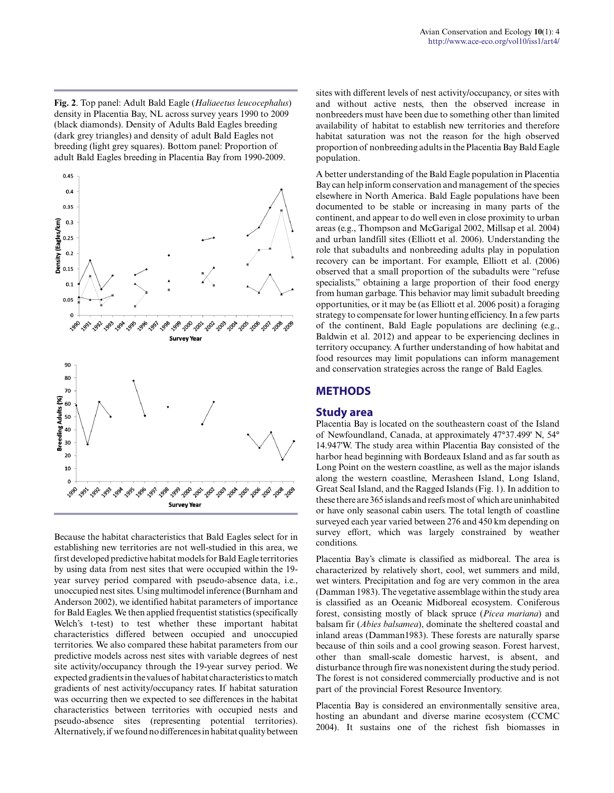**Fig. 2**. Top panel: Adult Bald Eagle (*Haliaeetus leucocephalus*) density in Placentia Bay, NL across survey years 1990 to 2009 (black diamonds). Density of Adults Bald Eagles breeding (dark grey triangles) and density of adult Bald Eagles not breeding (light grey squares). Bottom panel: Proportion of adult Bald Eagles breeding in Placentia Bay from 1990-2009.



Because the habitat characteristics that Bald Eagles select for in establishing new territories are not well-studied in this area, we first developed predictive habitat models for Bald Eagle territories by using data from nest sites that were occupied within the 19 year survey period compared with pseudo-absence data, i.e., unoccupied nest sites. Using multimodel inference (Burnham and Anderson 2002), we identified habitat parameters of importance for Bald Eagles. We then applied frequentist statistics (specifically Welch's t-test) to test whether these important habitat characteristics differed between occupied and unoccupied territories. We also compared these habitat parameters from our predictive models across nest sites with variable degrees of nest site activity/occupancy through the 19-year survey period. We expected gradients in the values of habitat characteristics to match gradients of nest activity/occupancy rates. If habitat saturation was occurring then we expected to see differences in the habitat characteristics between territories with occupied nests and pseudo-absence sites (representing potential territories). Alternatively, if we found no differences in habitat quality between sites with different levels of nest activity/occupancy, or sites with and without active nests, then the observed increase in nonbreeders must have been due to something other than limited availability of habitat to establish new territories and therefore habitat saturation was not the reason for the high observed proportion of nonbreeding adults in the Placentia Bay Bald Eagle population.

A better understanding of the Bald Eagle population in Placentia Bay can help inform conservation and management of the species elsewhere in North America. Bald Eagle populations have been documented to be stable or increasing in many parts of the continent, and appear to do well even in close proximity to urban areas (e.g., Thompson and McGarigal 2002, Millsap et al. 2004) and urban landfill sites (Elliott et al. 2006). Understanding the role that subadults and nonbreeding adults play in population recovery can be important. For example, Elliott et al. (2006) observed that a small proportion of the subadults were "refuse specialists," obtaining a large proportion of their food energy from human garbage. This behavior may limit subadult breeding opportunities, or it may be (as Elliott et al. 2006 posit) a foraging strategy to compensate for lower hunting efficiency. In a few parts of the continent, Bald Eagle populations are declining (e.g., Baldwin et al. 2012) and appear to be experiencing declines in territory occupancy. A further understanding of how habitat and food resources may limit populations can inform management and conservation strategies across the range of Bald Eagles.

## **METHODS**

## **Study area**

Placentia Bay is located on the southeastern coast of the Island of Newfoundland, Canada, at approximately 47°37.499' N, 54° 14.947'W. The study area within Placentia Bay consisted of the harbor head beginning with Bordeaux Island and as far south as Long Point on the western coastline, as well as the major islands along the western coastline, Merasheen Island, Long Island, Great Seal Island, and the Ragged Islands (Fig. 1). In addition to these there are 365 islands and reefs most of which are uninhabited or have only seasonal cabin users. The total length of coastline surveyed each year varied between 276 and 450 km depending on survey effort, which was largely constrained by weather conditions.

Placentia Bay's climate is classified as midboreal. The area is characterized by relatively short, cool, wet summers and mild, wet winters. Precipitation and fog are very common in the area (Damman 1983). The vegetative assemblage within the study area is classified as an Oceanic Midboreal ecosystem. Coniferous forest, consisting mostly of black spruce (*Picea mariana*) and balsam fir (*Abies balsamea*), dominate the sheltered coastal and inland areas (Damman1983). These forests are naturally sparse because of thin soils and a cool growing season. Forest harvest, other than small-scale domestic harvest, is absent, and disturbance through fire was nonexistent during the study period. The forest is not considered commercially productive and is not part of the provincial Forest Resource Inventory.

Placentia Bay is considered an environmentally sensitive area, hosting an abundant and diverse marine ecosystem (CCMC 2004). It sustains one of the richest fish biomasses in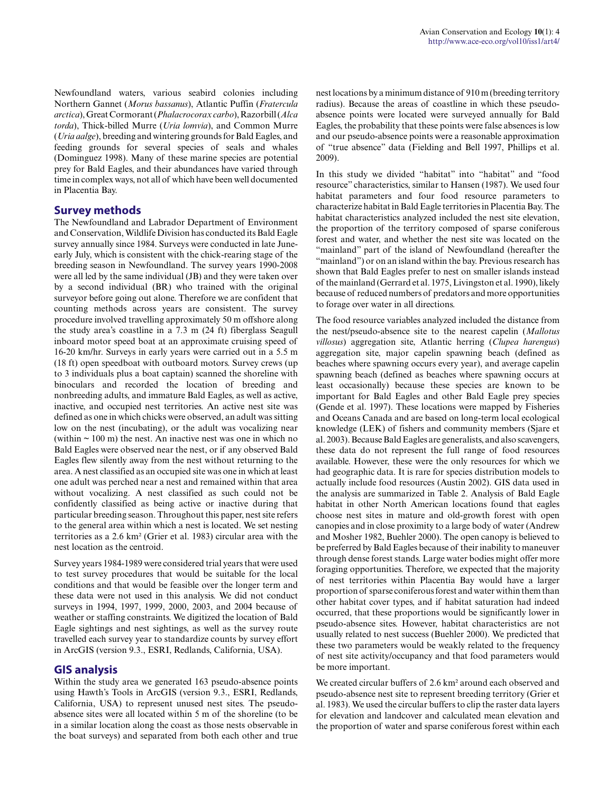Newfoundland waters, various seabird colonies including Northern Gannet (*Morus bassanus*), Atlantic Puffin (*Fratercula arctica*), Great Cormorant (*Phalacrocorax carbo*), Razorbill (*Alca torda*), Thick-billed Murre (*Uria lomvia*), and Common Murre (*Uria aalge*), breeding and wintering grounds for Bald Eagles, and feeding grounds for several species of seals and whales (Dominguez 1998). Many of these marine species are potential prey for Bald Eagles, and their abundances have varied through time in complex ways, not all of which have been well documented in Placentia Bay.

## **Survey methods**

The Newfoundland and Labrador Department of Environment and Conservation, Wildlife Division has conducted its Bald Eagle survey annually since 1984. Surveys were conducted in late Juneearly July, which is consistent with the chick-rearing stage of the breeding season in Newfoundland. The survey years 1990-2008 were all led by the same individual (JB) and they were taken over by a second individual (BR) who trained with the original surveyor before going out alone. Therefore we are confident that counting methods across years are consistent. The survey procedure involved travelling approximately 50 m offshore along the study area's coastline in a 7.3 m (24 ft) fiberglass Seagull inboard motor speed boat at an approximate cruising speed of 16-20 km/hr. Surveys in early years were carried out in a 5.5 m (18 ft) open speedboat with outboard motors. Survey crews (up to 3 individuals plus a boat captain) scanned the shoreline with binoculars and recorded the location of breeding and nonbreeding adults, and immature Bald Eagles, as well as active, inactive, and occupied nest territories. An active nest site was defined as one in which chicks were observed, an adult was sitting low on the nest (incubating), or the adult was vocalizing near (within  $\sim$  100 m) the nest. An inactive nest was one in which no Bald Eagles were observed near the nest, or if any observed Bald Eagles flew silently away from the nest without returning to the area. A nest classified as an occupied site was one in which at least one adult was perched near a nest and remained within that area without vocalizing. A nest classified as such could not be confidently classified as being active or inactive during that particular breeding season. Throughout this paper, nest site refers to the general area within which a nest is located. We set nesting territories as a 2.6 km² (Grier et al. 1983) circular area with the nest location as the centroid.

Survey years 1984-1989 were considered trial years that were used to test survey procedures that would be suitable for the local conditions and that would be feasible over the longer term and these data were not used in this analysis. We did not conduct surveys in 1994, 1997, 1999, 2000, 2003, and 2004 because of weather or staffing constraints. We digitized the location of Bald Eagle sightings and nest sightings, as well as the survey route travelled each survey year to standardize counts by survey effort in ArcGIS (version 9.3., ESRI, Redlands, California, USA).

## **GIS analysis**

Within the study area we generated 163 pseudo-absence points using Hawth's Tools in ArcGIS (version 9.3., ESRI, Redlands, California, USA) to represent unused nest sites. The pseudoabsence sites were all located within 5 m of the shoreline (to be in a similar location along the coast as those nests observable in the boat surveys) and separated from both each other and true nest locations by a minimum distance of 910 m (breeding territory radius). Because the areas of coastline in which these pseudoabsence points were located were surveyed annually for Bald Eagles, the probability that these points were false absences is low and our pseudo-absence points were a reasonable approximation of "true absence" data (Fielding and Bell 1997, Phillips et al. 2009).

In this study we divided "habitat" into "habitat" and "food resource" characteristics, similar to Hansen (1987). We used four habitat parameters and four food resource parameters to characterize habitat in Bald Eagle territories in Placentia Bay. The habitat characteristics analyzed included the nest site elevation, the proportion of the territory composed of sparse coniferous forest and water, and whether the nest site was located on the "mainland" part of the island of Newfoundland (hereafter the "mainland") or on an island within the bay. Previous research has shown that Bald Eagles prefer to nest on smaller islands instead of the mainland (Gerrard et al. 1975, Livingston et al. 1990), likely because of reduced numbers of predators and more opportunities to forage over water in all directions.

The food resource variables analyzed included the distance from the nest/pseudo-absence site to the nearest capelin (*Mallotus villosus*) aggregation site, Atlantic herring (*Clupea harengus*) aggregation site, major capelin spawning beach (defined as beaches where spawning occurs every year), and average capelin spawning beach (defined as beaches where spawning occurs at least occasionally) because these species are known to be important for Bald Eagles and other Bald Eagle prey species (Gende et al. 1997). These locations were mapped by Fisheries and Oceans Canada and are based on long-term local ecological knowledge (LEK) of fishers and community members (Sjare et al. 2003). Because Bald Eagles are generalists, and also scavengers, these data do not represent the full range of food resources available. However, these were the only resources for which we had geographic data. It is rare for species distribution models to actually include food resources (Austin 2002). GIS data used in the analysis are summarized in Table 2. Analysis of Bald Eagle habitat in other North American locations found that eagles choose nest sites in mature and old-growth forest with open canopies and in close proximity to a large body of water (Andrew and Mosher 1982, Buehler 2000). The open canopy is believed to be preferred by Bald Eagles because of their inability to maneuver through dense forest stands. Large water bodies might offer more foraging opportunities. Therefore, we expected that the majority of nest territories within Placentia Bay would have a larger proportion of sparse coniferous forest and water within them than other habitat cover types, and if habitat saturation had indeed occurred, that these proportions would be significantly lower in pseudo-absence sites. However, habitat characteristics are not usually related to nest success (Buehler 2000). We predicted that these two parameters would be weakly related to the frequency of nest site activity/occupancy and that food parameters would be more important.

We created circular buffers of 2.6 km<sup>2</sup> around each observed and pseudo-absence nest site to represent breeding territory (Grier et al. 1983). We used the circular buffers to clip the raster data layers for elevation and landcover and calculated mean elevation and the proportion of water and sparse coniferous forest within each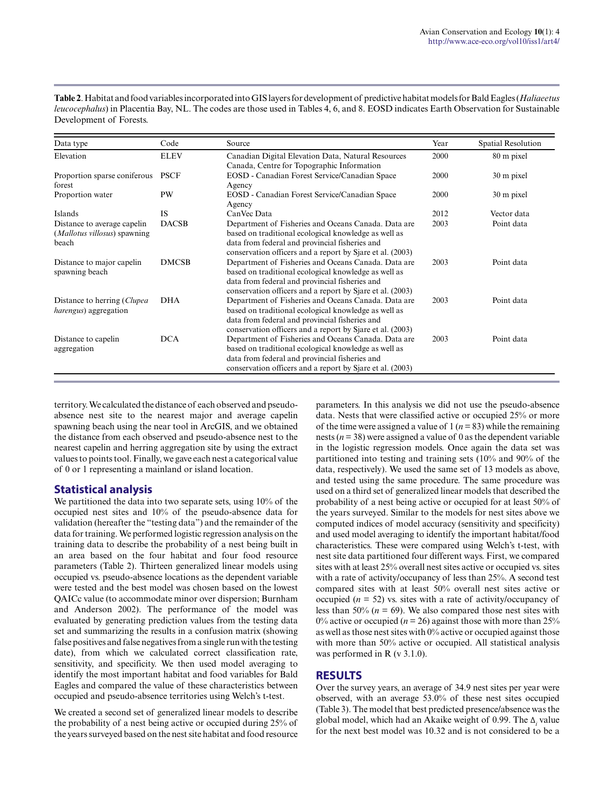| Data type                                                                     | Code         | Source                                                                                                                                                                                                                     | Year | Spatial Resolution |
|-------------------------------------------------------------------------------|--------------|----------------------------------------------------------------------------------------------------------------------------------------------------------------------------------------------------------------------------|------|--------------------|
| Elevation                                                                     | <b>ELEV</b>  | Canadian Digital Elevation Data, Natural Resources<br>Canada, Centre for Topographic Information                                                                                                                           | 2000 | 80 m pixel         |
| Proportion sparse coniferous<br>forest                                        | <b>PSCF</b>  | EOSD - Canadian Forest Service/Canadian Space<br>Agency                                                                                                                                                                    | 2000 | 30 m pixel         |
| Proportion water                                                              | PW           | EOSD - Canadian Forest Service/Canadian Space<br>Agency                                                                                                                                                                    | 2000 | 30 m pixel         |
| Islands                                                                       | <b>IS</b>    | CanVec Data                                                                                                                                                                                                                | 2012 | Vector data        |
| Distance to average capelin<br>( <i>Mallotus villosus</i> ) spawning<br>beach | <b>DACSB</b> | Department of Fisheries and Oceans Canada. Data are<br>based on traditional ecological knowledge as well as<br>data from federal and provincial fisheries and<br>conservation officers and a report by Sjare et al. (2003) | 2003 | Point data         |
| Distance to major capelin<br>spawning beach                                   | <b>DMCSB</b> | Department of Fisheries and Oceans Canada. Data are<br>based on traditional ecological knowledge as well as<br>data from federal and provincial fisheries and<br>conservation officers and a report by Sjare et al. (2003) | 2003 | Point data         |
| Distance to herring (Clupea<br><i>harengus</i> ) aggregation                  | <b>DHA</b>   | Department of Fisheries and Oceans Canada. Data are<br>based on traditional ecological knowledge as well as<br>data from federal and provincial fisheries and<br>conservation officers and a report by Sjare et al. (2003) | 2003 | Point data         |
| Distance to capelin<br>aggregation                                            | <b>DCA</b>   | Department of Fisheries and Oceans Canada. Data are<br>based on traditional ecological knowledge as well as<br>data from federal and provincial fisheries and<br>conservation officers and a report by Sjare et al. (2003) | 2003 | Point data         |

**Table 2**. Habitat and food variables incorporated into GIS layers for development of predictive habitat models for Bald Eagles (*Haliaeetus leucocephalus*) in Placentia Bay, NL. The codes are those used in Tables 4, 6, and 8. EOSD indicates Earth Observation for Sustainable Development of Forests.

territory. We calculated the distance of each observed and pseudoabsence nest site to the nearest major and average capelin spawning beach using the near tool in ArcGIS, and we obtained the distance from each observed and pseudo-absence nest to the nearest capelin and herring aggregation site by using the extract values to points tool. Finally, we gave each nest a categorical value of 0 or 1 representing a mainland or island location.

## **Statistical analysis**

We partitioned the data into two separate sets, using 10% of the occupied nest sites and 10% of the pseudo-absence data for validation (hereafter the "testing data") and the remainder of the data for training. We performed logistic regression analysis on the training data to describe the probability of a nest being built in an area based on the four habitat and four food resource parameters (Table 2). Thirteen generalized linear models using occupied vs. pseudo-absence locations as the dependent variable were tested and the best model was chosen based on the lowest QAICc value (to accommodate minor over dispersion; Burnham and Anderson 2002). The performance of the model was evaluated by generating prediction values from the testing data set and summarizing the results in a confusion matrix (showing false positives and false negatives from a single run with the testing date), from which we calculated correct classification rate, sensitivity, and specificity. We then used model averaging to identify the most important habitat and food variables for Bald Eagles and compared the value of these characteristics between occupied and pseudo-absence territories using Welch's t-test.

We created a second set of generalized linear models to describe the probability of a nest being active or occupied during 25% of the years surveyed based on the nest site habitat and food resource parameters. In this analysis we did not use the pseudo-absence data. Nests that were classified active or occupied 25% or more of the time were assigned a value of  $1 (n = 83)$  while the remaining nests (*n* = 38) were assigned a value of 0 as the dependent variable in the logistic regression models. Once again the data set was partitioned into testing and training sets (10% and 90% of the data, respectively). We used the same set of 13 models as above, and tested using the same procedure. The same procedure was used on a third set of generalized linear models that described the probability of a nest being active or occupied for at least 50% of the years surveyed. Similar to the models for nest sites above we computed indices of model accuracy (sensitivity and specificity) and used model averaging to identify the important habitat/food characteristics. These were compared using Welch's t-test, with nest site data partitioned four different ways. First, we compared sites with at least 25% overall nest sites active or occupied vs. sites with a rate of activity/occupancy of less than 25%. A second test compared sites with at least 50% overall nest sites active or occupied (*n* = 52) vs. sites with a rate of activity/occupancy of less than 50%  $(n = 69)$ . We also compared those nest sites with 0% active or occupied ( $n = 26$ ) against those with more than 25% as well as those nest sites with 0% active or occupied against those with more than 50% active or occupied. All statistical analysis was performed in R (v 3.1.0).

# **RESULTS**

Over the survey years, an average of 34.9 nest sites per year were observed, with an average 53.0% of these nest sites occupied (Table 3). The model that best predicted presence/absence was the global model, which had an Akaike weight of 0.99. The Δ*<sup>i</sup>* value for the next best model was 10.32 and is not considered to be a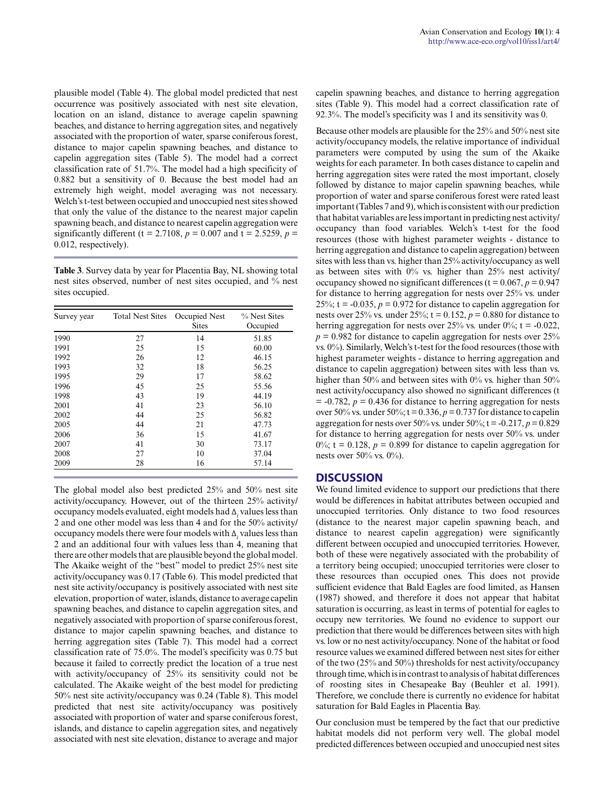plausible model (Table 4). The global model predicted that nest occurrence was positively associated with nest site elevation, location on an island, distance to average capelin spawning beaches, and distance to herring aggregation sites, and negatively associated with the proportion of water, sparse coniferous forest, distance to major capelin spawning beaches, and distance to capelin aggregation sites (Table 5). The model had a correct classification rate of 51.7%. The model had a high specificity of 0.882 but a sensitivity of 0. Because the best model had an extremely high weight, model averaging was not necessary. Welch's t-test between occupied and unoccupied nest sites showed that only the value of the distance to the nearest major capelin spawning beach, and distance to nearest capelin aggregation were significantly different (t = 2.7108,  $p = 0.007$  and t = 2.5259,  $p =$ 0.012, respectively).

**Table 3**. Survey data by year for Placentia Bay, NL showing total nest sites observed, number of nest sites occupied, and % nest sites occupied.

| Survey year | <b>Total Nest Sites</b> | Occupied Nest<br><b>Sites</b> | % Nest Sites<br>Occupied |
|-------------|-------------------------|-------------------------------|--------------------------|
| 1990        | 27                      | 14                            | 51.85                    |
| 1991        | 25                      | 15                            | 60.00                    |
| 1992        | 26                      | 12                            | 46.15                    |
| 1993        | 32                      | 18                            | 56.25                    |
| 1995        | 29                      | 17                            | 58.62                    |
| 1996        | 45                      | 25                            | 55.56                    |
| 1998        | 43                      | 19                            | 44.19                    |
| 2001        | 41                      | 23                            | 56.10                    |
| 2002        | 44                      | 25                            | 56.82                    |
| 2005        | 44                      | 21                            | 47.73                    |
| 2006        | 36                      | 15                            | 41.67                    |
| 2007        | 41                      | 30                            | 73.17                    |
| 2008        | 27                      | 10                            | 37.04                    |
| 2009        | 28                      | 16                            | 57.14                    |

The global model also best predicted 25% and 50% nest site activity/occupancy. However, out of the thirteen 25% activity/ occupancy models evaluated, eight models had Δ*<sup>i</sup>* values less than 2 and one other model was less than 4 and for the 50% activity/ occupancy models there were four models with Δ<sub>*i*</sub> values less than 2 and an additional four with values less than 4, meaning that there are other models that are plausible beyond the global model. The Akaike weight of the "best" model to predict 25% nest site activity/occupancy was 0.17 (Table 6). This model predicted that nest site activity/occupancy is positively associated with nest site elevation, proportion of water, islands, distance to average capelin spawning beaches, and distance to capelin aggregation sites, and negatively associated with proportion of sparse coniferous forest, distance to major capelin spawning beaches, and distance to herring aggregation sites (Table 7). This model had a correct classification rate of 75.0%. The model's specificity was 0.75 but because it failed to correctly predict the location of a true nest with activity/occupancy of 25% its sensitivity could not be calculated. The Akaike weight of the best model for predicting 50% nest site activity/occupancy was 0.24 (Table 8). This model predicted that nest site activity/occupancy was positively associated with proportion of water and sparse coniferous forest, islands, and distance to capelin aggregation sites, and negatively associated with nest site elevation, distance to average and major capelin spawning beaches, and distance to herring aggregation sites (Table 9). This model had a correct classification rate of 92.3%. The model's specificity was 1 and its sensitivity was 0.

Because other models are plausible for the 25% and 50% nest site activity/occupancy models, the relative importance of individual parameters were computed by using the sum of the Akaike weights for each parameter. In both cases distance to capelin and herring aggregation sites were rated the most important, closely followed by distance to major capelin spawning beaches, while proportion of water and sparse coniferous forest were rated least important (Tables 7 and 9), which is consistent with our prediction that habitat variables are less important in predicting nest activity/ occupancy than food variables. Welch's t-test for the food resources (those with highest parameter weights - distance to herring aggregation and distance to capelin aggregation) between sites with less than vs. higher than 25% activity/occupancy as well as between sites with  $0\%$  vs. higher than 25% nest activity/ occupancy showed no significant differences ( $t = 0.067$ ,  $p = 0.947$ ) for distance to herring aggregation for nests over 25% vs. under 25%;  $t = -0.035$ ,  $p = 0.972$  for distance to capelin aggregation for nests over 25% vs. under 25%;  $t = 0.152$ ,  $p = 0.880$  for distance to herring aggregation for nests over  $25\%$  vs. under  $0\%$ ; t = -0.022,  $p = 0.982$  for distance to capelin aggregation for nests over 25% vs. 0%). Similarly, Welch's t-test for the food resources (those with highest parameter weights - distance to herring aggregation and distance to capelin aggregation) between sites with less than vs. higher than 50% and between sites with 0% vs. higher than 50% nest activity/occupancy also showed no significant differences (t  $= -0.782$ ,  $p = 0.436$  for distance to herring aggregation for nests over 50% vs. under 50%;  $t = 0.336$ ,  $p = 0.737$  for distance to capelin aggregation for nests over  $50\%$  vs. under  $50\%$ ;  $t = -0.217$ ,  $p = 0.829$ for distance to herring aggregation for nests over 50% vs. under 0%;  $t = 0.128$ ,  $p = 0.899$  for distance to capelin aggregation for nests over 50% vs. 0%).

#### **DISCUSSION**

We found limited evidence to support our predictions that there would be differences in habitat attributes between occupied and unoccupied territories. Only distance to two food resources (distance to the nearest major capelin spawning beach, and distance to nearest capelin aggregation) were significantly different between occupied and unoccupied territories. However, both of these were negatively associated with the probability of a territory being occupied; unoccupied territories were closer to these resources than occupied ones. This does not provide sufficient evidence that Bald Eagles are food limited, as Hansen (1987) showed, and therefore it does not appear that habitat saturation is occurring, as least in terms of potential for eagles to occupy new territories. We found no evidence to support our prediction that there would be differences between sites with high vs. low or no nest activity/occupancy. None of the habitat or food resource values we examined differed between nest sites for either of the two (25% and 50%) thresholds for nest activity/occupancy through time, which is in contrast to analysis of habitat differences of roosting sites in Chesapeake Bay (Beuhler et al. 1991). Therefore, we conclude there is currently no evidence for habitat saturation for Bald Eagles in Placentia Bay.

Our conclusion must be tempered by the fact that our predictive habitat models did not perform very well. The global model predicted differences between occupied and unoccupied nest sites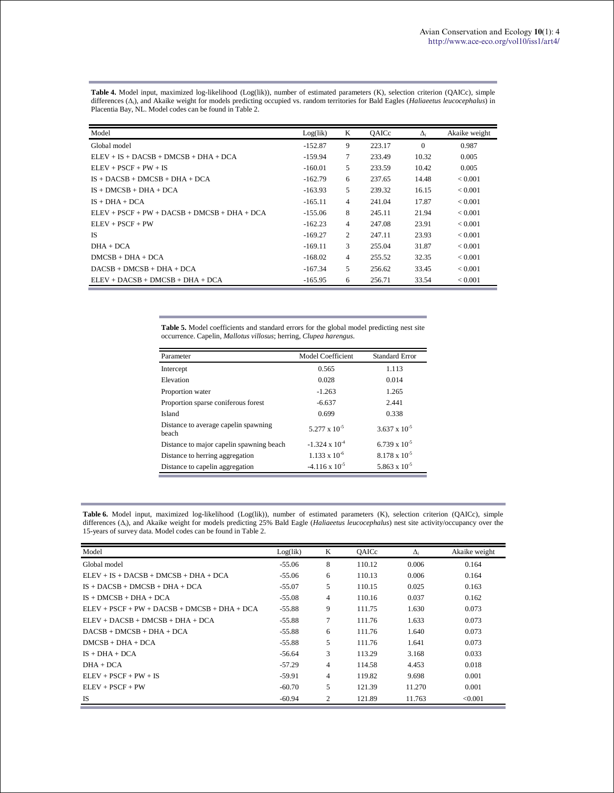| Model                                          | Log(lik)  | K | OAICc  | $\Delta_i$ | Akaike weight  |
|------------------------------------------------|-----------|---|--------|------------|----------------|
| Global model                                   | $-152.87$ | 9 | 223.17 | $\Omega$   | 0.987          |
| $ELEV + IS + DACSB + DMCSB + DHA + DCA$        | $-159.94$ | 7 | 233.49 | 10.32      | 0.005          |
| $ELEV + PSCF + PW + IS$                        | $-160.01$ | 5 | 233.59 | 10.42      | 0.005          |
| $IS + DACSB + DMCSB + DHA + DCA$               | $-162.79$ | 6 | 237.65 | 14.48      | ${}_{< 0.001}$ |
| $IS + DMCSB + DHA + DCA$                       | $-163.93$ | 5 | 239.32 | 16.15      | ${}_{< 0.001}$ |
| $IS + DHA + DCA$                               | $-165.11$ | 4 | 241.04 | 17.87      | ${}_{< 0.001}$ |
| $ELEV + PSCF + PW + DACSB + DMCSB + DHA + DCA$ | $-155.06$ | 8 | 245.11 | 21.94      | ${}_{< 0.001}$ |
| $ELEV + PSCF + PW$                             | $-162.23$ | 4 | 247.08 | 23.91      | ${}_{< 0.001}$ |
| <b>IS</b>                                      | $-169.27$ | 2 | 247.11 | 23.93      | ${}_{< 0.001}$ |
| $DHA + DCA$                                    | $-169.11$ | 3 | 255.04 | 31.87      | ${}_{< 0.001}$ |
| $DMCSR + DHA + DCA$                            | $-168.02$ | 4 | 255.52 | 32.35      | ${}_{< 0.001}$ |
| $DACSB + DMCSB + DHA + DCA$                    | $-167.34$ | 5 | 256.62 | 33.45      | ${}_{< 0.001}$ |
| $ELEV + DACSB + DMCSB + DHA + DCA$             | $-165.95$ | 6 | 256.71 | 33.54      | ${}_{< 0.001}$ |

**Table 4.** Model input, maximized log-likelihood (Log(lik)), number of estimated parameters (K), selection criterion (QAICc), simple differences (∆*i*), and Akaike weight for models predicting occupied vs. random territories for Bald Eagles (*Haliaeetus leucocephalus*) in Placentia Bay, NL. Model codes can be found in Table 2.

> **Table 5.** Model coefficients and standard errors for the global model predicting nest site occurrence. Capelin, *Mallotus villosus*; herring, *Clupea harengus*.

| Parameter                                     | Model Coefficient       | <b>Standard Error</b>  |
|-----------------------------------------------|-------------------------|------------------------|
| Intercept                                     | 0.565                   | 1.113                  |
| Elevation                                     | 0.028                   | 0.014                  |
| Proportion water                              | $-1.263$                | 1.265                  |
| Proportion sparse coniferous forest           | $-6.637$                | 2.441                  |
| Island                                        | 0.699                   | 0.338                  |
| Distance to average capelin spawning<br>beach | 5 277 x $10^{-5}$       | $3.637 \times 10^{-5}$ |
| Distance to major capelin spawning beach      | $-1.324 \times 10^{-4}$ | $6.739 \times 10^{-5}$ |
| Distance to herring aggregation               | $1.133 \times 10^{-6}$  | $8.178 \times 10^{-5}$ |
| Distance to capelin aggregation               | $-4.116 \times 10^{-5}$ | $5.863 \times 10^{-5}$ |

**Table 6.** Model input, maximized log-likelihood (Log(lik)), number of estimated parameters (K), selection criterion (QAICc), simple differences (∆*i*), and Akaike weight for models predicting 25% Bald Eagle (*Haliaeetus leucocephalus*) nest site activity/occupancy over the 15-years of survey data. Model codes can be found in Table 2.

| Model                                          | Log(lik) | K              | OAICc  | $\Delta_i$ | Akaike weight |
|------------------------------------------------|----------|----------------|--------|------------|---------------|
| Global model                                   | $-55.06$ | 8              | 110.12 | 0.006      | 0.164         |
| $ELEV + IS + DACSR + DMCSR + DHA + DCA$        | $-55.06$ | 6              | 110.13 | 0.006      | 0.164         |
| $IS + DACSB + DMCSB + DHA + DCA$               | $-55.07$ | 5              | 110.15 | 0.025      | 0.163         |
| $IS + DMCSB + DHA + DCA$                       | $-55.08$ | 4              | 110.16 | 0.037      | 0.162         |
| $ELEV + PSCF + PW + DACSB + DMCSB + DHA + DCA$ | $-55.88$ | 9              | 111.75 | 1.630      | 0.073         |
| $ELEV + DACSB + DMCSR + DHA + DCA$             | $-55.88$ | 7              | 111.76 | 1.633      | 0.073         |
| $DACSB + DMCSB + DHA + DCA$                    | $-55.88$ | 6              | 111.76 | 1.640      | 0.073         |
| $DMCSR + DHA + DCA$                            | $-55.88$ | 5              | 111.76 | 1.641      | 0.073         |
| $IS + DHA + DCA$                               | $-56.64$ | 3              | 113.29 | 3.168      | 0.033         |
| $DHA + DCA$                                    | $-57.29$ | $\overline{4}$ | 114.58 | 4.453      | 0.018         |
| $ELEV + PSCF + PW + IS$                        | $-59.91$ | 4              | 119.82 | 9.698      | 0.001         |
| $ELEV + PSCF + PW$                             | $-60.70$ | 5              | 121.39 | 11.270     | 0.001         |
| <b>IS</b>                                      | $-60.94$ | $\overline{c}$ | 121.89 | 11.763     | < 0.001       |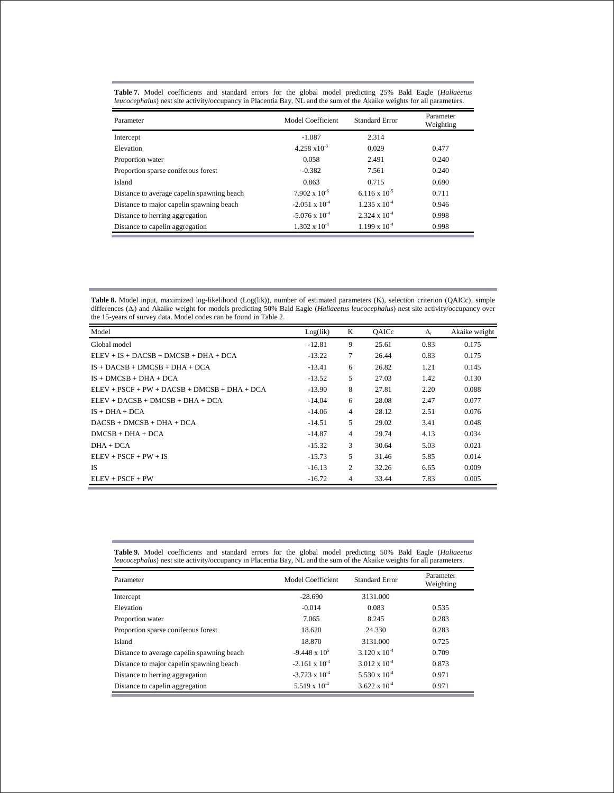|  | Table 7. Model coefficients and standard errors for the global model predicting 25% Bald Eagle (Haliaeetus                     |  |  |  |  |  |  |
|--|--------------------------------------------------------------------------------------------------------------------------------|--|--|--|--|--|--|
|  | <i>leucocephalus</i> ) nest site activity/occupancy in Placentia Bay, NL and the sum of the Akaike weights for all parameters. |  |  |  |  |  |  |

| Parameter                                  | Model Coefficient       | Standard Error         | Parameter<br>Weighting |
|--------------------------------------------|-------------------------|------------------------|------------------------|
| Intercept                                  | $-1.087$                | 2.314                  |                        |
| Elevation                                  | $4.258 \times 10^{-3}$  | 0.029                  | 0.477                  |
| Proportion water                           | 0.058                   | 2.491                  | 0.240                  |
| Proportion sparse coniferous forest        | $-0.382$                | 7.561                  | 0.240                  |
| Island                                     | 0.863                   | 0.715                  | 0.690                  |
| Distance to average capelin spawning beach | $7.902 \times 10^{-6}$  | $6.116 \times 10^{-5}$ | 0.711                  |
| Distance to major capelin spawning beach   | $-2.051 \times 10^{-4}$ | $1.235 \times 10^{-4}$ | 0.946                  |
| Distance to herring aggregation            | $-5.076 \times 10^{-4}$ | $2.324 \times 10^{-4}$ | 0.998                  |
| Distance to capelin aggregation            | $1.302 \times 10^{-4}$  | $1.199 \times 10^{-4}$ | 0.998                  |

**Table 8.** Model input, maximized log-likelihood (Log(lik)), number of estimated parameters (K), selection criterion (QAICc), simple differences (∆*i*) and Akaike weight for models predicting 50% Bald Eagle (*Haliaeetus leucocephalus*) nest site activity/occupancy over the 15-years of survey data. Model codes can be found in Table 2.

| Model                                          | Log(lik) | K | OAICc | $\Delta_i$ | Akaike weight |
|------------------------------------------------|----------|---|-------|------------|---------------|
| Global model                                   | $-12.81$ | 9 | 25.61 | 0.83       | 0.175         |
| $ELEV + IS + DAGSB + DMCSB + DHA + DCA$        | $-13.22$ | 7 | 26.44 | 0.83       | 0.175         |
| $IS + DACSB + DMCSB + DHA + DCA$               | $-13.41$ | 6 | 26.82 | 1.21       | 0.145         |
| $IS + DMCSB + DHA + DCA$                       | $-13.52$ | 5 | 27.03 | 1.42       | 0.130         |
| $ELEV + PSCF + PW + DACSB + DMCSB + DHA + DCA$ | $-13.90$ | 8 | 27.81 | 2.20       | 0.088         |
| $ELEV + DACSB + DMCSB + DHA + DCA$             | $-14.04$ | 6 | 28.08 | 2.47       | 0.077         |
| $IS + DHA + DCA$                               | $-14.06$ | 4 | 28.12 | 2.51       | 0.076         |
| $DACSB + DMCSR + DHA + DCA$                    | $-14.51$ | 5 | 29.02 | 3.41       | 0.048         |
| $DMCSR + DHA + DCA$                            | $-14.87$ | 4 | 29.74 | 4.13       | 0.034         |
| $DHA + DCA$                                    | $-15.32$ | 3 | 30.64 | 5.03       | 0.021         |
| $ELEV + PSCF + PW + IS$                        | $-15.73$ | 5 | 31.46 | 5.85       | 0.014         |
| <b>IS</b>                                      | $-16.13$ | 2 | 32.26 | 6.65       | 0.009         |
| $ELEV + PSCF + PW$                             | $-16.72$ | 4 | 33.44 | 7.83       | 0.005         |

**Table 9.** Model coefficients and standard errors for the global model predicting 50% Bald Eagle (*Haliaeetus leucocephalus*) nest site activity/occupancy in Placentia Bay, NL and the sum of the Akaike weights for all parameters.

| Parameter                                  | Model Coefficient       | Standard Error         | Parameter<br>Weighting |
|--------------------------------------------|-------------------------|------------------------|------------------------|
| Intercept                                  | $-28.690$               | 3131.000               |                        |
| Elevation                                  | $-0.014$                | 0.083                  | 0.535                  |
| Proportion water                           | 7.065                   | 8.245                  | 0.283                  |
| Proportion sparse coniferous forest        | 18.620                  | 24.330                 | 0.283                  |
| Island                                     | 18.870                  | 3131.000               | 0.725                  |
| Distance to average capelin spawning beach | $-9.448 \times 10^5$    | $3.120 \times 10^{-4}$ | 0.709                  |
| Distance to major capelin spawning beach   | $-2.161 \times 10^{-4}$ | $3.012 \times 10^{-4}$ | 0.873                  |
| Distance to herring aggregation            | $-3.723 \times 10^{-4}$ | $5.530 \times 10^{-4}$ | 0.971                  |
| Distance to capelin aggregation            | $5.519 \times 10^{-4}$  | $3.622 \times 10^{-4}$ | 0.971                  |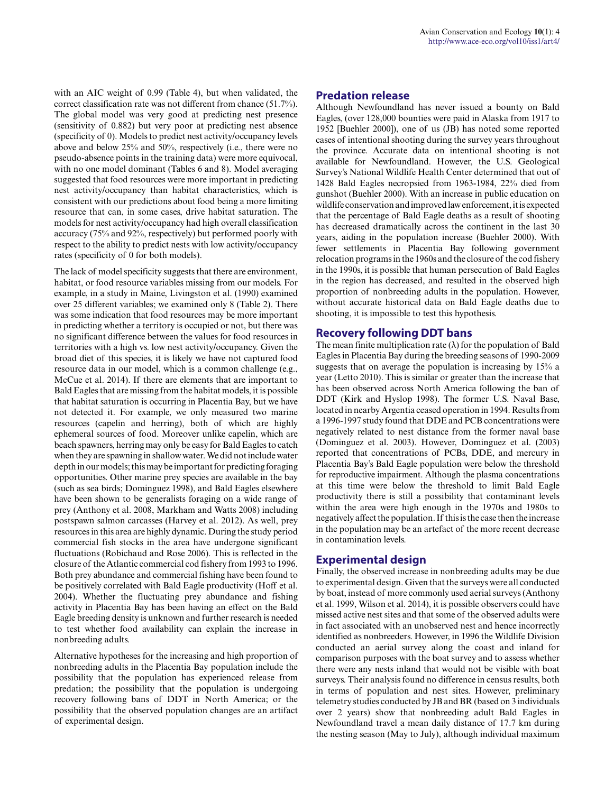with an AIC weight of 0.99 (Table 4), but when validated, the correct classification rate was not different from chance (51.7%). The global model was very good at predicting nest presence (sensitivity of 0.882) but very poor at predicting nest absence (specificity of 0). Models to predict nest activity/occupancy levels above and below 25% and 50%, respectively (i.e., there were no pseudo-absence points in the training data) were more equivocal, with no one model dominant (Tables 6 and 8). Model averaging suggested that food resources were more important in predicting nest activity/occupancy than habitat characteristics, which is consistent with our predictions about food being a more limiting resource that can, in some cases, drive habitat saturation. The models for nest activity/occupancy had high overall classification accuracy (75% and 92%, respectively) but performed poorly with respect to the ability to predict nests with low activity/occupancy rates (specificity of 0 for both models).

The lack of model specificity suggests that there are environment, habitat, or food resource variables missing from our models. For example, in a study in Maine, Livingston et al. (1990) examined over 25 different variables; we examined only 8 (Table 2). There was some indication that food resources may be more important in predicting whether a territory is occupied or not, but there was no significant difference between the values for food resources in territories with a high vs. low nest activity/occupancy. Given the broad diet of this species, it is likely we have not captured food resource data in our model, which is a common challenge (e.g., McCue et al. 2014). If there are elements that are important to Bald Eagles that are missing from the habitat models, it is possible that habitat saturation is occurring in Placentia Bay, but we have not detected it. For example, we only measured two marine resources (capelin and herring), both of which are highly ephemeral sources of food. Moreover unlike capelin, which are beach spawners, herring may only be easy for Bald Eagles to catch when they are spawning in shallow water. We did not include water depth in our models; this may be important for predicting foraging opportunities. Other marine prey species are available in the bay (such as sea birds; Dominguez 1998), and Bald Eagles elsewhere have been shown to be generalists foraging on a wide range of prey (Anthony et al. 2008, Markham and Watts 2008) including postspawn salmon carcasses (Harvey et al. 2012). As well, prey resources in this area are highly dynamic. During the study period commercial fish stocks in the area have undergone significant fluctuations (Robichaud and Rose 2006). This is reflected in the closure of the Atlantic commercial cod fishery from 1993 to 1996. Both prey abundance and commercial fishing have been found to be positively correlated with Bald Eagle productivity (Hoff et al. 2004). Whether the fluctuating prey abundance and fishing activity in Placentia Bay has been having an effect on the Bald Eagle breeding density is unknown and further research is needed to test whether food availability can explain the increase in nonbreeding adults.

Alternative hypotheses for the increasing and high proportion of nonbreeding adults in the Placentia Bay population include the possibility that the population has experienced release from predation; the possibility that the population is undergoing recovery following bans of DDT in North America; or the possibility that the observed population changes are an artifact of experimental design.

#### **Predation release**

Although Newfoundland has never issued a bounty on Bald Eagles, (over 128,000 bounties were paid in Alaska from 1917 to 1952 [Buehler 2000]), one of us (JB) has noted some reported cases of intentional shooting during the survey years throughout the province. Accurate data on intentional shooting is not available for Newfoundland. However, the U.S. Geological Survey's National Wildlife Health Center determined that out of 1428 Bald Eagles necropsied from 1963-1984, 22% died from gunshot (Buehler 2000). With an increase in public education on wildlife conservation and improved law enforcement, it is expected that the percentage of Bald Eagle deaths as a result of shooting has decreased dramatically across the continent in the last 30 years, aiding in the population increase (Buehler 2000). With fewer settlements in Placentia Bay following government relocation programs in the 1960s and the closure of the cod fishery in the 1990s, it is possible that human persecution of Bald Eagles in the region has decreased, and resulted in the observed high proportion of nonbreeding adults in the population. However, without accurate historical data on Bald Eagle deaths due to shooting, it is impossible to test this hypothesis.

#### **Recovery following DDT bans**

The mean finite multiplication rate  $(\lambda)$  for the population of Bald Eagles in Placentia Bay during the breeding seasons of 1990-2009 suggests that on average the population is increasing by 15% a year (Letto 2010). This is similar or greater than the increase that has been observed across North America following the ban of DDT (Kirk and Hyslop 1998). The former U.S. Naval Base, located in nearby Argentia ceased operation in 1994. Results from a 1996-1997 study found that DDE and PCB concentrations were negatively related to nest distance from the former naval base (Dominguez et al. 2003). However, Dominguez et al. (2003) reported that concentrations of PCBs, DDE, and mercury in Placentia Bay's Bald Eagle population were below the threshold for reproductive impairment. Although the plasma concentrations at this time were below the threshold to limit Bald Eagle productivity there is still a possibility that contaminant levels within the area were high enough in the 1970s and 1980s to negatively affect the population. If this is the case then the increase in the population may be an artefact of the more recent decrease in contamination levels.

#### **Experimental design**

Finally, the observed increase in nonbreeding adults may be due to experimental design. Given that the surveys were all conducted by boat, instead of more commonly used aerial surveys (Anthony et al. 1999, Wilson et al. 2014), it is possible observers could have missed active nest sites and that some of the observed adults were in fact associated with an unobserved nest and hence incorrectly identified as nonbreeders. However, in 1996 the Wildlife Division conducted an aerial survey along the coast and inland for comparison purposes with the boat survey and to assess whether there were any nests inland that would not be visible with boat surveys. Their analysis found no difference in census results, both in terms of population and nest sites. However, preliminary telemetry studies conducted by JB and BR (based on 3 individuals over 2 years) show that nonbreeding adult Bald Eagles in Newfoundland travel a mean daily distance of 17.7 km during the nesting season (May to July), although individual maximum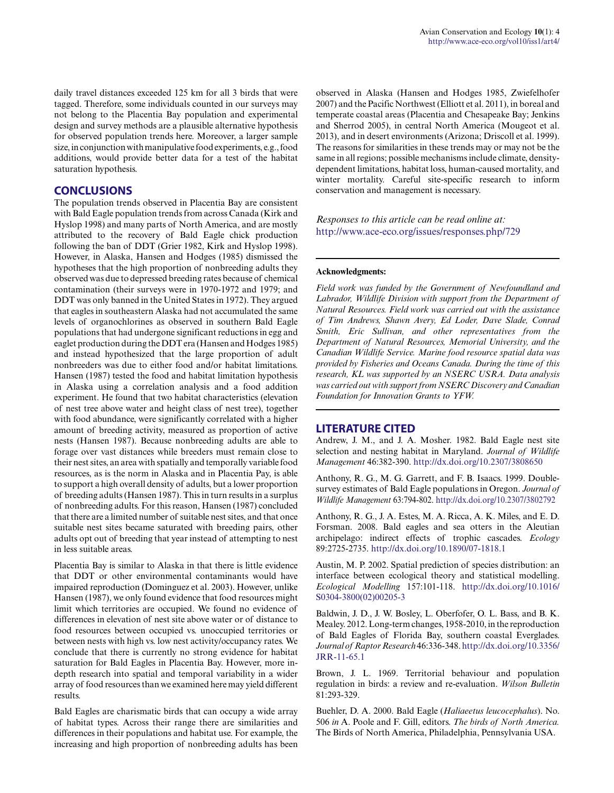daily travel distances exceeded 125 km for all 3 birds that were tagged. Therefore, some individuals counted in our surveys may not belong to the Placentia Bay population and experimental design and survey methods are a plausible alternative hypothesis for observed population trends here. Moreover, a larger sample size, in conjunction with manipulative food experiments, e.g., food additions, would provide better data for a test of the habitat saturation hypothesis.

## **CONCLUSIONS**

The population trends observed in Placentia Bay are consistent with Bald Eagle population trends from across Canada (Kirk and Hyslop 1998) and many parts of North America, and are mostly attributed to the recovery of Bald Eagle chick production following the ban of DDT (Grier 1982, Kirk and Hyslop 1998). However, in Alaska, Hansen and Hodges (1985) dismissed the hypotheses that the high proportion of nonbreeding adults they observed was due to depressed breeding rates because of chemical contamination (their surveys were in 1970-1972 and 1979; and DDT was only banned in the United States in 1972). They argued that eagles in southeastern Alaska had not accumulated the same levels of organochlorines as observed in southern Bald Eagle populations that had undergone significant reductions in egg and eaglet production during the DDT era (Hansen and Hodges 1985) and instead hypothesized that the large proportion of adult nonbreeders was due to either food and/or habitat limitations. Hansen (1987) tested the food and habitat limitation hypothesis in Alaska using a correlation analysis and a food addition experiment. He found that two habitat characteristics (elevation of nest tree above water and height class of nest tree), together with food abundance, were significantly correlated with a higher amount of breeding activity, measured as proportion of active nests (Hansen 1987). Because nonbreeding adults are able to forage over vast distances while breeders must remain close to their nest sites, an area with spatially and temporally variable food resources, as is the norm in Alaska and in Placentia Pay, is able to support a high overall density of adults, but a lower proportion of breeding adults (Hansen 1987). This in turn results in a surplus of nonbreeding adults. For this reason, Hansen (1987) concluded that there are a limited number of suitable nest sites, and that once suitable nest sites became saturated with breeding pairs, other adults opt out of breeding that year instead of attempting to nest in less suitable areas.

Placentia Bay is similar to Alaska in that there is little evidence that DDT or other environmental contaminants would have impaired reproduction (Dominguez et al. 2003). However, unlike Hansen (1987), we only found evidence that food resources might limit which territories are occupied. We found no evidence of differences in elevation of nest site above water or of distance to food resources between occupied vs. unoccupied territories or between nests with high vs. low nest activity/occupancy rates. We conclude that there is currently no strong evidence for habitat saturation for Bald Eagles in Placentia Bay. However, more indepth research into spatial and temporal variability in a wider array of food resources than we examined here may yield different results.

Bald Eagles are charismatic birds that can occupy a wide array of habitat types. Across their range there are similarities and differences in their populations and habitat use. For example, the increasing and high proportion of nonbreeding adults has been observed in Alaska (Hansen and Hodges 1985, Zwiefelhofer 2007) and the Pacific Northwest (Elliott et al. 2011), in boreal and temperate coastal areas (Placentia and Chesapeake Bay; Jenkins and Sherrod 2005), in central North America (Mougeot et al. 2013), and in desert environments (Arizona; Driscoll et al. 1999). The reasons for similarities in these trends may or may not be the same in all regions; possible mechanisms include climate, densitydependent limitations, habitat loss, human-caused mortality, and winter mortality. Careful site-specific research to inform conservation and management is necessary.

*Responses to this article can be read online at:* <http://www.ace-eco.org/issues/responses.php/729>

#### **Acknowledgments:**

*Field work was funded by the Government of Newfoundland and Labrador, Wildlife Division with support from the Department of Natural Resources. Field work was carried out with the assistance of Tim Andrews, Shawn Avery, Ed Loder, Dave Slade, Conrad Smith, Eric Sullivan, and other representatives from the Department of Natural Resources, Memorial University, and the Canadian Wildlife Service. Marine food resource spatial data was provided by Fisheries and Oceans Canada. During the time of this research, KL was supported by an NSERC USRA. Data analysis was carried out with support from NSERC Discovery and Canadian Foundation for Innovation Grants to YFW.*

#### **LITERATURE CITED**

Andrew, J. M., and J. A. Mosher. 1982. Bald Eagle nest site selection and nesting habitat in Maryland. *Journal of Wildlife Management* 46:382-390. [http://dx.doi.org/10.2307/3808650](http://dx.doi.org/10.2307%2F3808650)

Anthony, R. G., M. G. Garrett, and F. B. Isaacs. 1999. Doublesurvey estimates of Bald Eagle populations in Oregon. *Journal of Wildlife Management* 63:794-802. [http://dx.doi.org/10.2307/3802792](http://dx.doi.org/10.2307%2F3802792) 

Anthony, R. G., J. A. Estes, M. A. Ricca, A. K. Miles, and E. D. Forsman. 2008. Bald eagles and sea otters in the Aleutian archipelago: indirect effects of trophic cascades. *Ecology* 89:2725-2735. [http://dx.doi.org/10.1890/07-1818.1](http://dx.doi.org/10.1890%2F07-1818.1)

Austin, M. P. 2002. Spatial prediction of species distribution: an interface between ecological theory and statistical modelling. *Ecological Modelling* 157:101-118. [http://dx.doi.org/10.1016/](http://dx.doi.org/10.1016%2FS0304-3800%2802%2900205-3) [S0304-3800\(02\)00205-3](http://dx.doi.org/10.1016%2FS0304-3800%2802%2900205-3) 

Baldwin, J. D., J. W. Bosley, L. Oberfofer, O. L. Bass, and B. K. Mealey. 2012. Long-term changes, 1958-2010, in the reproduction of Bald Eagles of Florida Bay, southern coastal Everglades. *Journal of Raptor Research* 46:336-348. [http://dx.doi.org/10.3356/](http://dx.doi.org/10.3356%2FJRR-11-65.1) [JRR-11-65.1](http://dx.doi.org/10.3356%2FJRR-11-65.1) 

Brown, J. L. 1969. Territorial behaviour and population regulation in birds: a review and re-evaluation. *Wilson Bulletin* 81:293-329.

Buehler, D. A. 2000. Bald Eagle (*Haliaeetus leucocephalus*). No. 506 *in* A. Poole and F. Gill, editors. *The birds of North America.* The Birds of North America, Philadelphia, Pennsylvania USA.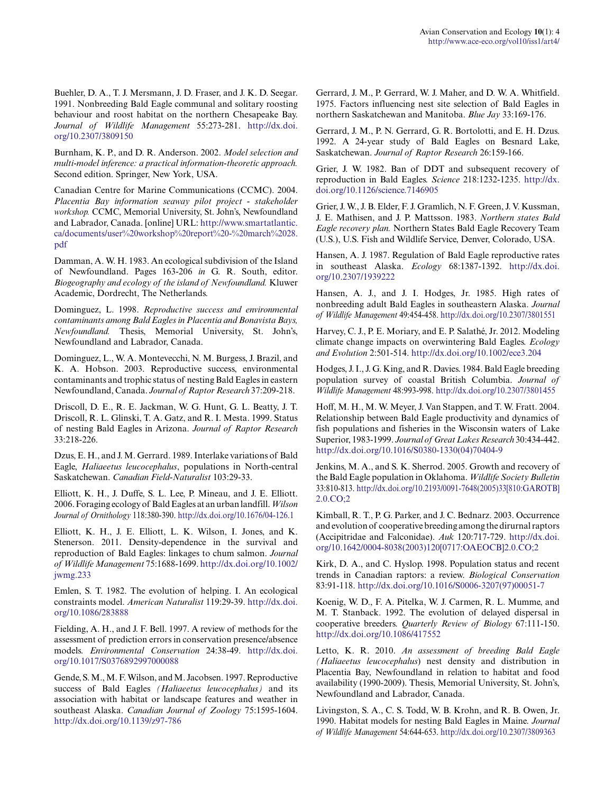Buehler, D. A., T. J. Mersmann, J. D. Fraser, and J. K. D. Seegar. 1991. Nonbreeding Bald Eagle communal and solitary roosting behaviour and roost habitat on the northern Chesapeake Bay. *Journal of Wildlife Management* 55:273-281. [http://dx.doi.](http://dx.doi.org/10.2307%2F3809150) [org/10.2307/3809150](http://dx.doi.org/10.2307%2F3809150) 

Burnham, K. P., and D. R. Anderson. 2002. *Model selection and multi-model inference: a practical information-theoretic approach.* Second edition. Springer, New York, USA.

Canadian Centre for Marine Communications (CCMC). 2004. *Placentia Bay information seaway pilot project - stakeholder workshop.* CCMC, Memorial University, St. John's, Newfoundland and Labrador, Canada. [online] URL: [http://www.smartatlantic.](http://www.smartatlantic.ca/documents/user%20workshop%20report%20-%20march%2028.pdf) [ca/documents/user%20workshop%20report%20-%20march%2028.](http://www.smartatlantic.ca/documents/user%20workshop%20report%20-%20march%2028.pdf) [pdf](http://www.smartatlantic.ca/documents/user%20workshop%20report%20-%20march%2028.pdf)

Damman, A. W. H. 1983. An ecological subdivision of the Island of Newfoundland. Pages 163-206 *in* G. R. South, editor. *Biogeography and ecology of the island of Newfoundland.* Kluwer Academic, Dordrecht, The Netherlands.

Dominguez, L. 1998. *Reproductive success and environmental contaminants among Bald Eagles in Placentia and Bonavista Bays, Newfoundland.* Thesis, Memorial University, St. John's, Newfoundland and Labrador, Canada.

Dominguez, L., W. A. Montevecchi, N. M. Burgess, J. Brazil, and K. A. Hobson. 2003. Reproductive success, environmental contaminants and trophic status of nesting Bald Eagles in eastern Newfoundland, Canada. *Journal of Raptor Research* 37:209-218.

Driscoll, D. E., R. E. Jackman, W. G. Hunt, G. L. Beatty, J. T. Driscoll, R. L. Glinski, T. A. Gatz, and R. I. Mesta. 1999. Status of nesting Bald Eagles in Arizona. *Journal of Raptor Research* 33:218-226.

Dzus, E. H., and J. M. Gerrard. 1989. Interlake variations of Bald Eagle, *Haliaeetus leucocephalus*, populations in North-central Saskatchewan. *Canadian Field-Naturalist* 103:29-33.

Elliott, K. H., J. Duffe, S. L. Lee, P. Mineau, and J. E. Elliott. 2006. Foraging ecology of Bald Eagles at an urban landfill. *Wilson Journal of Ornithology* 118:380-390. [http://dx.doi.org/10.1676/04-126.1](http://dx.doi.org/10.1676%2F04-126.1) 

Elliott, K. H., J. E. Elliott, L. K. Wilson, I. Jones, and K. Stenerson. 2011. Density-dependence in the survival and reproduction of Bald Eagles: linkages to chum salmon. *Journal of Wildlife Management* 75:1688-1699. [http://dx.doi.org/10.1002/](http://dx.doi.org/10.1002%2Fjwmg.233) [jwmg.233](http://dx.doi.org/10.1002%2Fjwmg.233) 

Emlen, S. T. 1982. The evolution of helping. I. An ecological constraints model. *American Naturalist* 119:29-39. [http://dx.doi.](http://dx.doi.org/10.1086%2F283888) [org/10.1086/283888](http://dx.doi.org/10.1086%2F283888)

Fielding, A. H., and J. F. Bell. 1997. A review of methods for the assessment of prediction errors in conservation presence/absence models. *Environmental Conservation* 24:38-49. [http://dx.doi.](http://dx.doi.org/10.1017%2FS0376892997000088) [org/10.1017/S0376892997000088](http://dx.doi.org/10.1017%2FS0376892997000088)

Gende, S. M., M. F. Wilson, and M. Jacobsen. 1997. Reproductive success of Bald Eagles *(Haliaeetus leucocephalus)* and its association with habitat or landscape features and weather in southeast Alaska. *Canadian Journal of Zoology* 75:1595-1604. [http://dx.doi.org/10.1139/z97-786](http://dx.doi.org/10.1139%2Fz97-786) 

Gerrard, J. M., P. Gerrard, W. J. Maher, and D. W. A. Whitfield. 1975. Factors influencing nest site selection of Bald Eagles in northern Saskatchewan and Manitoba. *Blue Jay* 33:169-176.

Gerrard, J. M., P. N. Gerrard, G. R. Bortolotti, and E. H. Dzus. 1992. A 24-year study of Bald Eagles on Besnard Lake, Saskatchewan. *Journal of Raptor Research* 26:159-166.

Grier, J. W. 1982. Ban of DDT and subsequent recovery of reproduction in Bald Eagles. *Science* 218:1232-1235. [http://dx.](http://dx.doi.org/10.1126%2Fscience.7146905) [doi.org/10.1126/science.7146905](http://dx.doi.org/10.1126%2Fscience.7146905)

Grier, J. W., J. B. Elder, F. J. Gramlich, N. F. Green, J. V. Kussman, J. E. Mathisen, and J. P. Mattsson. 1983. *Northern states Bald Eagle recovery plan.* Northern States Bald Eagle Recovery Team (U.S.), U.S. Fish and Wildlife Service, Denver, Colorado, USA.

Hansen, A. J. 1987. Regulation of Bald Eagle reproductive rates in southeast Alaska. *Ecology* 68:1387-1392. [http://dx.doi.](http://dx.doi.org/10.2307%2F1939222) [org/10.2307/1939222](http://dx.doi.org/10.2307%2F1939222) 

Hansen, A. J., and J. I. Hodges, Jr. 1985. High rates of nonbreeding adult Bald Eagles in southeastern Alaska. *Journal of Wildlife Management* 49:454-458. [http://dx.doi.org/10.2307/3801551](http://dx.doi.org/10.2307%2F3801551) 

Harvey, C. J., P. E. Moriary, and E. P. Salathé, Jr. 2012. Modeling climate change impacts on overwintering Bald Eagles. *Ecology and Evolution* 2:501-514. [http://dx.doi.org/10.1002/ece3.204](http://dx.doi.org/10.1002%2Fece3.204) 

Hodges, J. I., J. G. King, and R. Davies. 1984. Bald Eagle breeding population survey of coastal British Columbia. *Journal of Wildlife Management* 48:993-998. [http://dx.doi.org/10.2307/3801455](http://dx.doi.org/10.2307%2F3801455) 

Hoff, M. H., M. W. Meyer, J. Van Stappen, and T. W. Fratt. 2004. Relationship between Bald Eagle productivity and dynamics of fish populations and fisheries in the Wisconsin waters of Lake Superior, 1983-1999. *Journal of Great Lakes Research* 30:434-442. [http://dx.doi.org/10.1016/S0380-1330\(04\)70404-9](http://dx.doi.org/10.1016%2FS0380-1330%2804%2970404-9)

Jenkins, M. A., and S. K. Sherrod. 2005. Growth and recovery of the Bald Eagle population in Oklahoma. *Wildlife Society Bulletin* 33:810-813. [http://dx.doi.org/10.2193/0091-7648\(2005\)33\[810:GAROTB\]](http://dx.doi.org/10.2193%2F0091-7648%282005%2933%5B810%3AGAROTB%5D2.0.CO%3B2) [2.0.CO;2](http://dx.doi.org/10.2193%2F0091-7648%282005%2933%5B810%3AGAROTB%5D2.0.CO%3B2)

Kimball, R. T., P. G. Parker, and J. C. Bednarz. 2003. Occurrence and evolution of cooperative breeding among the dirurnal raptors (Accipitridae and Falconidae). *Auk* 120:717-729. [http://dx.doi.](http://dx.doi.org/10.1642%2F0004-8038%282003%29120%5B0717%3AOAEOCB%5D2.0.CO%3B2) [org/10.1642/0004-8038\(2003\)120\[0717:OAEOCB\]2.0.CO;2](http://dx.doi.org/10.1642%2F0004-8038%282003%29120%5B0717%3AOAEOCB%5D2.0.CO%3B2)

Kirk, D. A., and C. Hyslop. 1998. Population status and recent trends in Canadian raptors: a review. *Biological Conservation* 83:91-118. [http://dx.doi.org/10.1016/S0006-3207\(97\)00051-7](http://dx.doi.org/10.1016%2FS0006-3207%2897%2900051-7) 

Koenig, W. D., F. A. Pitelka, W. J. Carmen, R. L. Mumme, and M. T. Stanback. 1992. The evolution of delayed dispersal in cooperative breeders. *Quarterly Review of Biology* 67:111-150. [http://dx.doi.org/10.1086/417552](http://dx.doi.org/10.1086%2F417552)

Letto, K. R. 2010. *An assessment of breeding Bald Eagle (Haliaeetus leucocephalus*) nest density and distribution in Placentia Bay, Newfoundland in relation to habitat and food availability (1990-2009). Thesis, Memorial University, St. John's, Newfoundland and Labrador, Canada.

Livingston, S. A., C. S. Todd, W. B. Krohn, and R. B. Owen, Jr. 1990. Habitat models for nesting Bald Eagles in Maine. *Journal of Wildlife Management* 54:644-653. [http://dx.doi.org/10.2307/3809363](http://dx.doi.org/10.2307%2F3809363)